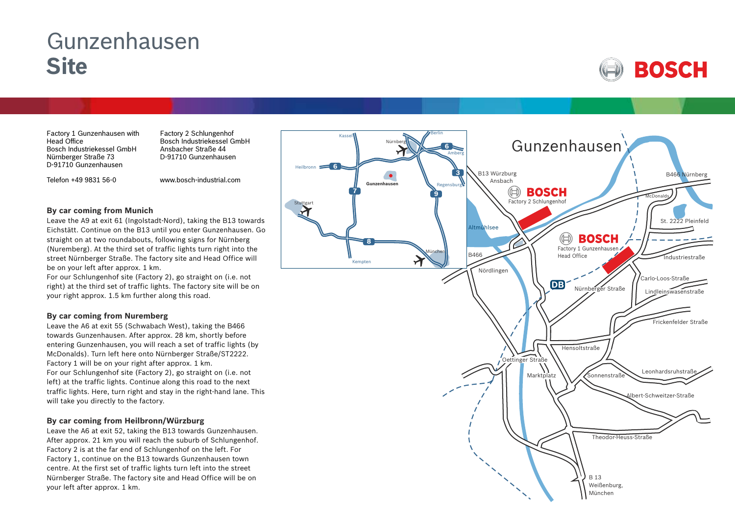# Gunzenhausen **Site**



Factory 1 Gunzenhausen with Head Office Bosch Industriekessel GmbH Nürnberger Straße 73 D-91710 Gunzenhausen

Telefon +49 9831 56-0

Factory 2 Schlungenhof Bosch Industriekessel GmbH Ansbacher Straße 44 D-91710 Gunzenhausen

www.bosch-industrial.com

#### **By car coming from Munich**

Leave the A9 at exit 61 (Ingolstadt-Nord), taking the B13 towards Eichstätt. Continue on the B13 until you enter Gunzenhausen. Go straight on at two roundabouts, following signs for Nürnberg (Nuremberg). At the third set of traffic lights turn right into the street Nürnberger Straße. The factory site and Head Office will be on your left after approx. 1 km.

For our Schlungenhof site (Factory 2), go straight on (i.e. not right) at the third set of traffic lights. The factory site will be on your right approx. 1.5 km further along this road.

## **By car coming from Nuremberg**

Leave the A6 at exit 55 (Schwabach West), taking the B466 towards Gunzenhausen. After approx. 28 km, shortly before entering Gunzenhausen, you will reach a set of traffic lights (by McDonalds). Turn left here onto Nürnberger Straße/ST2222. Factory 1 will be on your right after approx. 1 km. For our Schlungenhof site (Factory 2), go straight on (i.e. not left) at the traffic lights. Continue along this road to the next traffic lights. Here, turn right and stay in the right-hand lane. This will take you directly to the factory.

## **By car coming from Heilbronn/Würzburg**

Leave the A6 at exit 52, taking the B13 towards Gunzenhausen. After approx. 21 km you will reach the suburb of Schlungenhof. Factory 2 is at the far end of Schlungenhof on the left. For Factory 1, continue on the B13 towards Gunzenhausen town centre. At the first set of traffic lights turn left into the street Nürnberger Straße. The factory site and Head Office will be on your left after approx. 1 km.